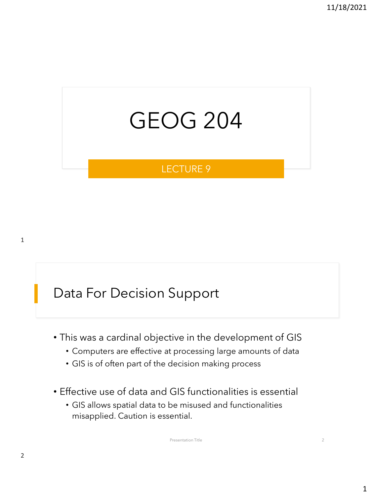## GEOG 204

#### LECTURE 9

## Data For Decision Support

- This was a cardinal objective in the development of GIS
	- Computers are effective at processing large amounts of data
	- GIS is of often part of the decision making process
- Effective use of data and GIS functionalities is essential
	- GIS allows spatial data to be misused and functionalities misapplied. Caution is essential.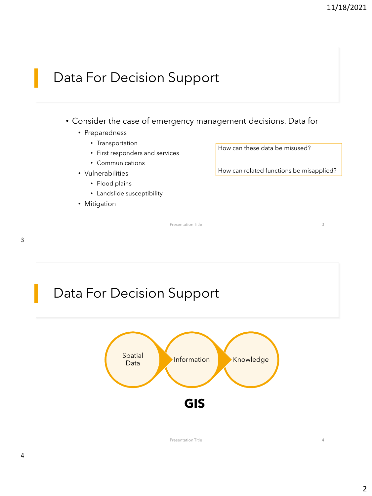## Data For Decision Support

- Consider the case of emergency management decisions. Data for
	- Preparedness
		- Transportation
		- First responders and services
		- Communications
	- Vulnerabilities
		- Flood plains
		- Landslide susceptibility
	- Mitigation

How can these data be misused?

How can related functions be misapplied?

Presentation Title 3



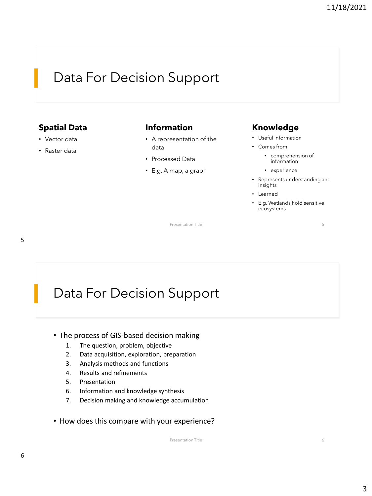## Data For Decision Support

#### **Spatial Data**

- Vector data
- Raster data

#### **Information**

- A representation of the data
- Processed Data
- E.g. A map, a graph

#### **Knowledge**

- Useful information
- Comes from:
	- comprehension of information
	- experience
- Represents understanding and insights
- Learned

Presentation Title 5

• E.g. Wetlands hold sensitive ecosystems

5

## Data For Decision Support

- The process of GIS-based decision making
	- 1. The question, problem, objective
	- 2. Data acquisition, exploration, preparation
	- 3. Analysis methods and functions
	- 4. Results and refinements
	- 5. Presentation
	- 6. Information and knowledge synthesis
	- 7. Decision making and knowledge accumulation
- How does this compare with your experience?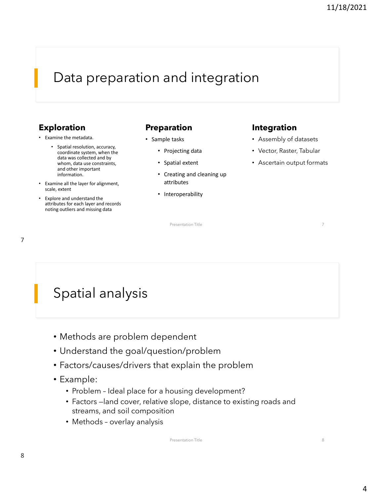## Data preparation and integration

#### **Exploration**

- Examine the metadata.
	- Spatial resolution, accuracy, coordinate system, when the data was collected and by whom, data use constraints, and other important information.
- Examine all the layer for alignment, scale, extent
- Explore and understand the attributes for each layer and records noting outliers and missing data

#### **Preparation**

- Sample tasks
	- Projecting data
	- Spatial extent
	- Creating and cleaning up attributes
	- Interoperability

#### **Integration**

- Assembly of datasets
- Vector, Raster, Tabular
- Ascertain output formats

Presentation Title 7

7

## Spatial analysis

- Methods are problem dependent
- Understand the goal/question/problem
- Factors/causes/drivers that explain the problem
- Example:
	- Problem Ideal place for a housing development?
	- Factors —land cover, relative slope, distance to existing roads and streams, and soil composition
	- Methods overlay analysis

Presentation Title 8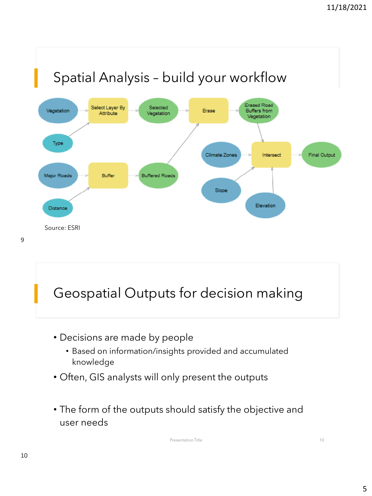

## Geospatial Outputs for decision making

- Decisions are made by people
	- Based on information/insights provided and accumulated knowledge
- Often, GIS analysts will only present the outputs
- The form of the outputs should satisfy the objective and user needs

Presentation Title 10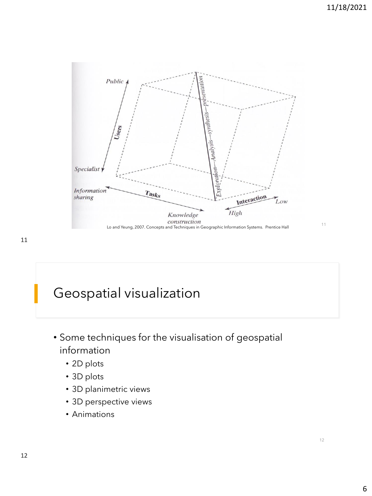

- Some techniques for the visualisation of geospatial information
	- 2D plots
	- 3D plots
	- 3D planimetric views
	- 3D perspective views
	- Animations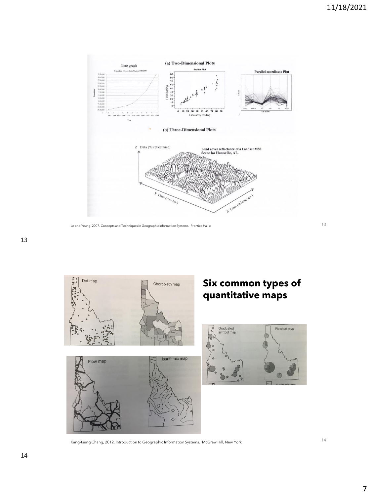

Lo and Yeung, 2007. Concepts and Techniques in Geographic Information Systems. Prentice Hall <sup>c</sup> 13

#### 13



14 Kang-tsung Chang, 2012. Introduction to Geographic Information Systems. McGraw Hill, New York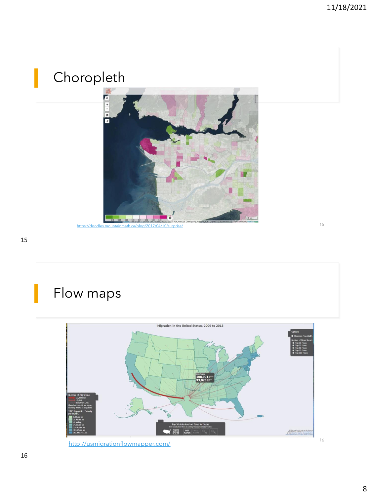# Choropleth **RICHARDS**  $\overline{a}$ 15 <https://doodles.mountainmath.ca/blog/2017/04/10/surprise/>

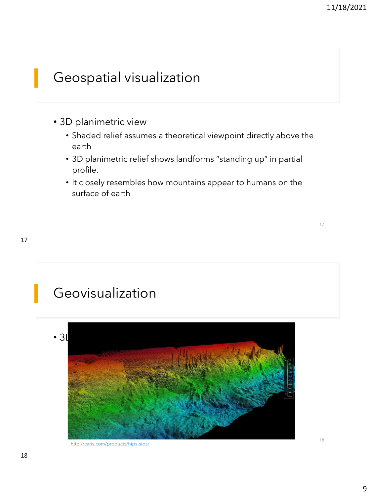- 3D planimetric view
	- Shaded relief assumes a theoretical viewpoint directly above the earth
	- 3D planimetric relief shows landforms "standing up" in partial profile.
	- It closely resembles how mountains appear to humans on the surface of earth

## Geovisualization



<http://caris.com/products/hips-sips/>

18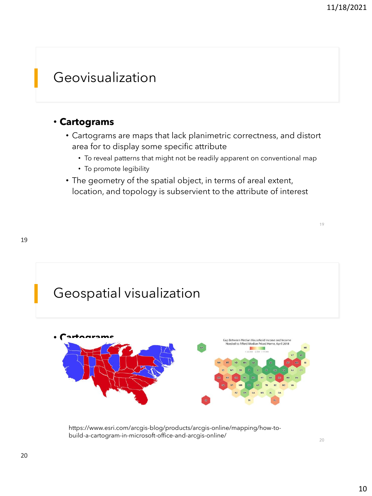#### Geovisualization

#### • **Cartograms**

- Cartograms are maps that lack planimetric correctness, and distort area for to display some specific attribute
	- To reveal patterns that might not be readily apparent on conventional map
	- To promote legibility
- The geometry of the spatial object, in terms of areal extent, location, and topology is subservient to the attribute of interest





https://www.esri.com/arcgis-blog/products/arcgis-online/mapping/how-tobuild-a-cartogram-in-microsoft-office-and-arcgis-online/

20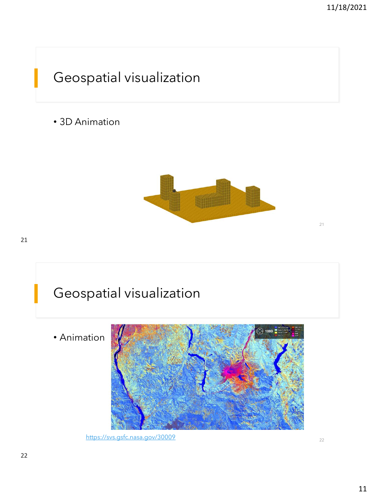• 3D Animation



21



<https://svs.gsfc.nasa.gov/30009> 22